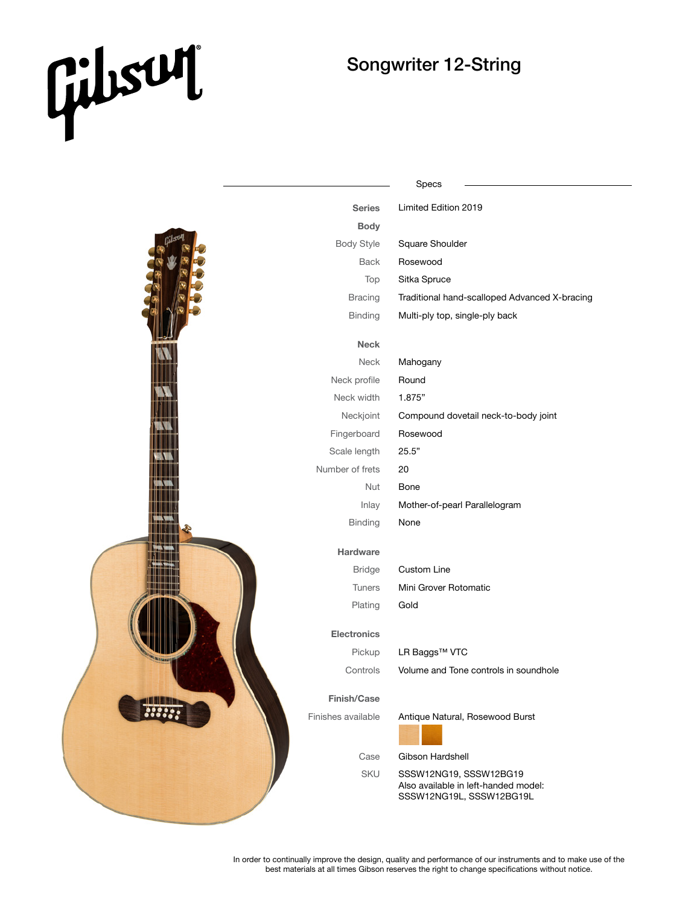## Gilisuri

## Songwriter 12-String